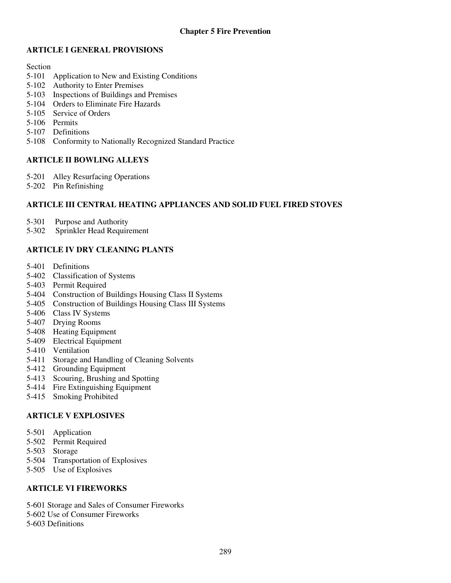# **ARTICLE I GENERAL PROVISIONS**

#### Section

- 5-101 Application to New and Existing Conditions
- 5-102 Authority to Enter Premises
- 5-103 Inspections of Buildings and Premises
- 5-104 Orders to Eliminate Fire Hazards
- 5-105 Service of Orders
- 5-106 Permits
- 5-107 Definitions
- 5-108 Conformity to Nationally Recognized Standard Practice

# **ARTICLE II BOWLING ALLEYS**

- 5-201 Alley Resurfacing Operations
- 5-202 Pin Refinishing

# **ARTICLE III CENTRAL HEATING APPLIANCES AND SOLID FUEL FIRED STOVES**

- 5-301 Purpose and Authority<br>5-302 Sprinkler Head Require
- Sprinkler Head Requirement

# **ARTICLE IV DRY CLEANING PLANTS**

- 5-401 Definitions
- 5-402 Classification of Systems
- 5-403 Permit Required
- 5-404 Construction of Buildings Housing Class II Systems
- 5-405 Construction of Buildings Housing Class III Systems
- 5-406 Class IV Systems
- 5-407 Drying Rooms
- 5-408 Heating Equipment
- 5-409 Electrical Equipment
- 5-410 Ventilation
- 5-411 Storage and Handling of Cleaning Solvents
- 5-412 Grounding Equipment
- 5-413 Scouring, Brushing and Spotting
- 5-414 Fire Extinguishing Equipment
- 5-415 Smoking Prohibited

# **ARTICLE V EXPLOSIVES**

- 5-501 Application
- 5-502 Permit Required
- 5-503 Storage
- 5-504 Transportation of Explosives
- 5-505 Use of Explosives

# **ARTICLE VI FIREWORKS**

- 5-601 Storage and Sales of Consumer Fireworks
- 5-602 Use of Consumer Fireworks
- 5-603 Definitions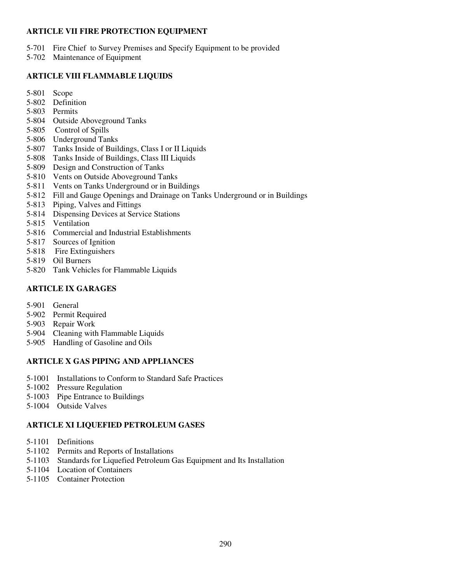# **ARTICLE VII FIRE PROTECTION EQUIPMENT**

- 5-701 Fire Chief to Survey Premises and Specify Equipment to be provided
- 5-702 Maintenance of Equipment

# **ARTICLE VIII FLAMMABLE LIQUIDS**

- 5-801 Scope
- 5-802 Definition
- 5-803 Permits
- 5-804 Outside Aboveground Tanks
- 5-805 Control of Spills
- 5-806 Underground Tanks
- 5-807 Tanks Inside of Buildings, Class I or II Liquids
- 5-808 Tanks Inside of Buildings, Class III Liquids
- 5-809 Design and Construction of Tanks
- 5-810 Vents on Outside Aboveground Tanks
- 5-811 Vents on Tanks Underground or in Buildings
- 5-812 Fill and Gauge Openings and Drainage on Tanks Underground or in Buildings
- 5-813 Piping, Valves and Fittings
- 5-814 Dispensing Devices at Service Stations
- 5-815 Ventilation
- 5-816 Commercial and Industrial Establishments
- 5-817 Sources of Ignition
- 5-818 Fire Extinguishers
- 5-819 Oil Burners
- 5-820 Tank Vehicles for Flammable Liquids

# **ARTICLE IX GARAGES**

- 5-901 General
- 5-902 Permit Required
- 5-903 Repair Work
- 5-904 Cleaning with Flammable Liquids
- 5-905 Handling of Gasoline and Oils

# **ARTICLE X GAS PIPING AND APPLIANCES**

- 5-1001 Installations to Conform to Standard Safe Practices
- 5-1002 Pressure Regulation
- 5-1003 Pipe Entrance to Buildings
- 5-1004 Outside Valves

# **ARTICLE XI LIQUEFIED PETROLEUM GASES**

- 5-1101 Definitions
- 5-1102 Permits and Reports of Installations
- 5-1103 Standards for Liquefied Petroleum Gas Equipment and Its Installation
- 5-1104 Location of Containers
- 5-1105 Container Protection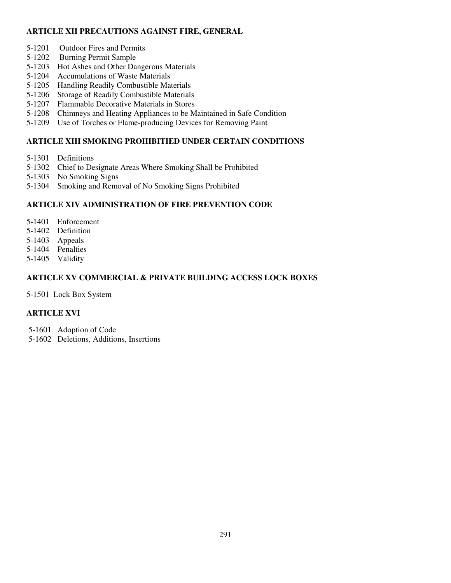# **ARTICLE XII PRECAUTIONS AGAINST FIRE, GENERAL**

- 5-1201 Outdoor Fires and Permits
- 5-1202 Burning Permit Sample
- 5-1203 Hot Ashes and Other Dangerous Materials
- 5-1204 Accumulations of Waste Materials
- 5-1205 Handling Readily Combustible Materials
- 5-1206 Storage of Readily Combustible Materials
- 5-1207 Flammable Decorative Materials in Stores
- 5-1208 Chimneys and Heating Appliances to be Maintained in Safe Condition
- 5-1209 Use of Torches or Flame-producing Devices for Removing Paint

# **ARTICLE XIII SMOKING PROHIBITIED UNDER CERTAIN CONDITIONS**

- 5-1301 Definitions
- 5-1302 Chief to Designate Areas Where Smoking Shall be Prohibited
- 5-1303 No Smoking Signs
- 5-1304 Smoking and Removal of No Smoking Signs Prohibited

# **ARTICLE XIV ADMINISTRATION OF FIRE PREVENTION CODE**

- 5-1401 Enforcement
- 5-1402 Definition
- 5-1403 Appeals
- 5-1404 Penalties
- 5-1405 Validity

# **ARTICLE XV COMMERCIAL & PRIVATE BUILDING ACCESS LOCK BOXES**

5-1501 Lock Box System

# **ARTICLE XVI**

- 5-1601 Adoption of Code
- 5-1602 Deletions, Additions, Insertions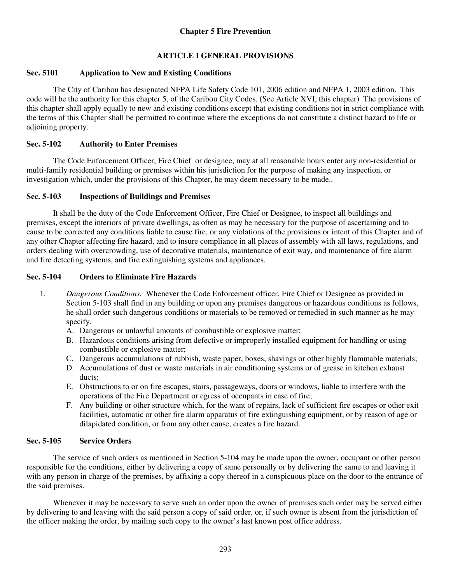# **ARTICLE I GENERAL PROVISIONS**

# **Sec. 5101 Application to New and Existing Conditions**

The City of Caribou has designated NFPA Life Safety Code 101, 2006 edition and NFPA 1, 2003 edition. This code will be the authority for this chapter 5, of the Caribou City Codes. (See Article XVI, this chapter) The provisions of this chapter shall apply equally to new and existing conditions except that existing conditions not in strict compliance with the terms of this Chapter shall be permitted to continue where the exceptions do not constitute a distinct hazard to life or adjoining property.

# **Sec. 5-102 Authority to Enter Premises**

The Code Enforcement Officer, Fire Chief or designee, may at all reasonable hours enter any non-residential or multi-family residential building or premises within his jurisdiction for the purpose of making any inspection, or investigation which, under the provisions of this Chapter, he may deem necessary to be made..

# **Sec. 5-103 Inspections of Buildings and Premises**

It shall be the duty of the Code Enforcement Officer, Fire Chief or Designee, to inspect all buildings and premises, except the interiors of private dwellings, as often as may be necessary for the purpose of ascertaining and to cause to be corrected any conditions liable to cause fire, or any violations of the provisions or intent of this Chapter and of any other Chapter affecting fire hazard, and to insure compliance in all places of assembly with all laws, regulations, and orders dealing with overcrowding, use of decorative materials, maintenance of exit way, and maintenance of fire alarm and fire detecting systems, and fire extinguishing systems and appliances.

# **Sec. 5-104 Orders to Eliminate Fire Hazards**

- 1. *Dangerous Conditions.* Whenever the Code Enforcement officer, Fire Chief or Designee as provided in Section 5-103 shall find in any building or upon any premises dangerous or hazardous conditions as follows, he shall order such dangerous conditions or materials to be removed or remedied in such manner as he may specify.
	- A. Dangerous or unlawful amounts of combustible or explosive matter;
	- B. Hazardous conditions arising from defective or improperly installed equipment for handling or using combustible or explosive matter;
	- C. Dangerous accumulations of rubbish, waste paper, boxes, shavings or other highly flammable materials;
	- D. Accumulations of dust or waste materials in air conditioning systems or of grease in kitchen exhaust ducts;
	- E. Obstructions to or on fire escapes, stairs, passageways, doors or windows, liable to interfere with the operations of the Fire Department or egress of occupants in case of fire;
	- F. Any building or other structure which, for the want of repairs, lack of sufficient fire escapes or other exit facilities, automatic or other fire alarm apparatus of fire extinguishing equipment, or by reason of age or dilapidated condition, or from any other cause, creates a fire hazard.

# **Sec. 5-105 Service Orders**

The service of such orders as mentioned in Section 5-104 may be made upon the owner, occupant or other person responsible for the conditions, either by delivering a copy of same personally or by delivering the same to and leaving it with any person in charge of the premises, by affixing a copy thereof in a conspicuous place on the door to the entrance of the said premises.

Whenever it may be necessary to serve such an order upon the owner of premises such order may be served either by delivering to and leaving with the said person a copy of said order, or, if such owner is absent from the jurisdiction of the officer making the order, by mailing such copy to the owner's last known post office address.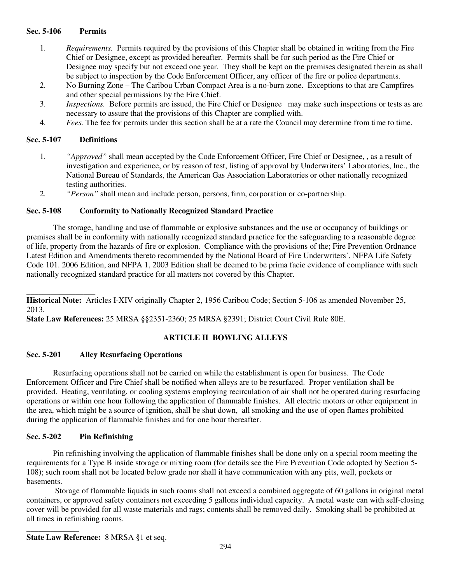#### **Sec. 5-106 Permits**

- 1. *Requirements.* Permits required by the provisions of this Chapter shall be obtained in writing from the Fire Chief or Designee, except as provided hereafter. Permits shall be for such period as the Fire Chief or Designee may specify but not exceed one year. They shall be kept on the premises designated therein as shall be subject to inspection by the Code Enforcement Officer, any officer of the fire or police departments.
- 2. No Burning Zone The Caribou Urban Compact Area is a no-burn zone. Exceptions to that are Campfires and other special permissions by the Fire Chief.
- 3. *Inspections.* Before permits are issued, the Fire Chief or Designee may make such inspections or tests as are necessary to assure that the provisions of this Chapter are complied with.
- 4. *Fees.* The fee for permits under this section shall be at a rate the Council may determine from time to time.

## **Sec. 5-107 Definitions**

- 1. *"Approved"* shall mean accepted by the Code Enforcement Officer, Fire Chief or Designee, , as a result of investigation and experience, or by reason of test, listing of approval by Underwriters' Laboratories, Inc., the National Bureau of Standards, the American Gas Association Laboratories or other nationally recognized testing authorities.
- 2. *"Person"* shall mean and include person, persons, firm, corporation or co-partnership.

## **Sec. 5-108 Conformity to Nationally Recognized Standard Practice**

The storage, handling and use of flammable or explosive substances and the use or occupancy of buildings or premises shall be in conformity with nationally recognized standard practice for the safeguarding to a reasonable degree of life, property from the hazards of fire or explosion. Compliance with the provisions of the; Fire Prevention Ordnance Latest Edition and Amendments thereto recommended by the National Board of Fire Underwriters', NFPA Life Safety Code 101. 2006 Edition, and NFPA 1, 2003 Edition shall be deemed to be prima facie evidence of compliance with such nationally recognized standard practice for all matters not covered by this Chapter.

\_\_\_\_\_\_\_\_\_\_\_\_\_\_\_\_\_ **Historical Note:** Articles I-XIV originally Chapter 2, 1956 Caribou Code; Section 5-106 as amended November 25, 2013.

**State Law References:** 25 MRSA §§2351-2360; 25 MRSA §2391; District Court Civil Rule 80E.

# **ARTICLE II BOWLING ALLEYS**

## **Sec. 5-201 Alley Resurfacing Operations**

Resurfacing operations shall not be carried on while the establishment is open for business. The Code Enforcement Officer and Fire Chief shall be notified when alleys are to be resurfaced. Proper ventilation shall be provided. Heating, ventilating, or cooling systems employing recirculation of air shall not be operated during resurfacing operations or within one hour following the application of flammable finishes. All electric motors or other equipment in the area, which might be a source of ignition, shall be shut down, all smoking and the use of open flames prohibited during the application of flammable finishes and for one hour thereafter.

## **Sec. 5-202 Pin Refinishing**

\_\_\_\_\_\_\_\_\_\_\_\_\_

Pin refinishing involving the application of flammable finishes shall be done only on a special room meeting the requirements for a Type B inside storage or mixing room (for details see the Fire Prevention Code adopted by Section 5- 108); such room shall not be located below grade nor shall it have communication with any pits, well, pockets or basements.

 Storage of flammable liquids in such rooms shall not exceed a combined aggregate of 60 gallons in original metal containers, or approved safety containers not exceeding 5 gallons individual capacity. A metal waste can with self-closing cover will be provided for all waste materials and rags; contents shall be removed daily. Smoking shall be prohibited at all times in refinishing rooms.

**State Law Reference:** 8 MRSA §1 et seq.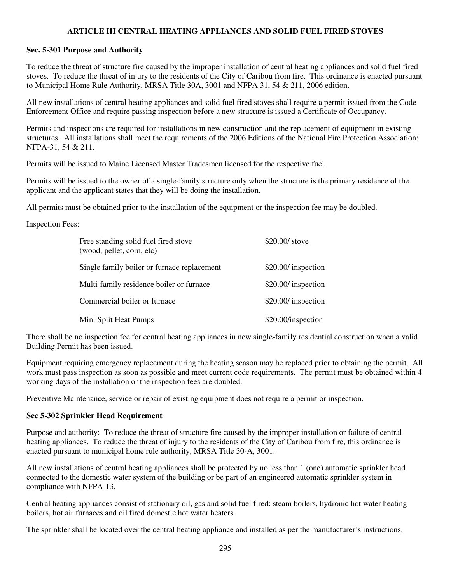# **ARTICLE III CENTRAL HEATING APPLIANCES AND SOLID FUEL FIRED STOVES**

## **Sec. 5-301 Purpose and Authority**

To reduce the threat of structure fire caused by the improper installation of central heating appliances and solid fuel fired stoves. To reduce the threat of injury to the residents of the City of Caribou from fire. This ordinance is enacted pursuant to Municipal Home Rule Authority, MRSA Title 30A, 3001 and NFPA 31, 54 & 211, 2006 edition.

All new installations of central heating appliances and solid fuel fired stoves shall require a permit issued from the Code Enforcement Office and require passing inspection before a new structure is issued a Certificate of Occupancy.

Permits and inspections are required for installations in new construction and the replacement of equipment in existing structures. All installations shall meet the requirements of the 2006 Editions of the National Fire Protection Association: NFPA-31, 54 & 211.

Permits will be issued to Maine Licensed Master Tradesmen licensed for the respective fuel.

Permits will be issued to the owner of a single-family structure only when the structure is the primary residence of the applicant and the applicant states that they will be doing the installation.

All permits must be obtained prior to the installation of the equipment or the inspection fee may be doubled.

Inspection Fees:

| Free standing solid fuel fired stove<br>(wood, pellet, corn, etc) | $$20.00/$ stove     |
|-------------------------------------------------------------------|---------------------|
| Single family boiler or furnace replacement                       | \$20.00/ inspection |
| Multi-family residence boiler or furnace                          | \$20.00/ inspection |
| Commercial boiler or furnace                                      | \$20.00/ inspection |
| Mini Split Heat Pumps                                             | \$20.00/inspection  |

There shall be no inspection fee for central heating appliances in new single-family residential construction when a valid Building Permit has been issued.

Equipment requiring emergency replacement during the heating season may be replaced prior to obtaining the permit. All work must pass inspection as soon as possible and meet current code requirements. The permit must be obtained within 4 working days of the installation or the inspection fees are doubled.

Preventive Maintenance, service or repair of existing equipment does not require a permit or inspection.

## **Sec 5-302 Sprinkler Head Requirement**

Purpose and authority: To reduce the threat of structure fire caused by the improper installation or failure of central heating appliances. To reduce the threat of injury to the residents of the City of Caribou from fire, this ordinance is enacted pursuant to municipal home rule authority, MRSA Title 30-A, 3001.

All new installations of central heating appliances shall be protected by no less than 1 (one) automatic sprinkler head connected to the domestic water system of the building or be part of an engineered automatic sprinkler system in compliance with NFPA-13.

Central heating appliances consist of stationary oil, gas and solid fuel fired: steam boilers, hydronic hot water heating boilers, hot air furnaces and oil fired domestic hot water heaters.

The sprinkler shall be located over the central heating appliance and installed as per the manufacturer's instructions.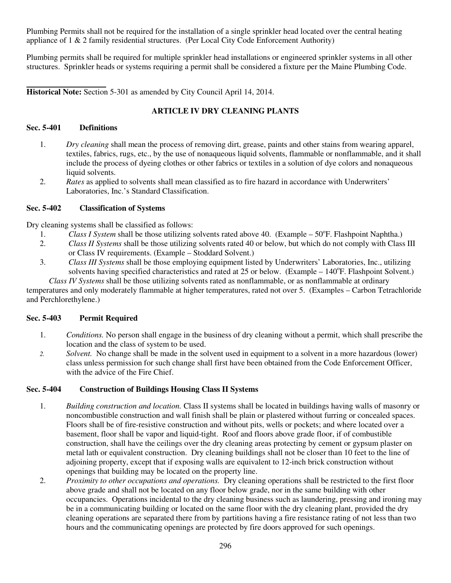Plumbing Permits shall not be required for the installation of a single sprinkler head located over the central heating appliance of 1 & 2 family residential structures. (Per Local City Code Enforcement Authority)

Plumbing permits shall be required for multiple sprinkler head installations or engineered sprinkler systems in all other structures. Sprinkler heads or systems requiring a permit shall be considered a fixture per the Maine Plumbing Code.

 **Historical Note:** Section 5-301 as amended by City Council April 14, 2014.

# **ARTICLE IV DRY CLEANING PLANTS**

# **Sec. 5-401 Definitions**

- 1. *Dry cleaning* shall mean the process of removing dirt, grease, paints and other stains from wearing apparel, textiles, fabrics, rugs, etc., by the use of nonaqueous liquid solvents, flammable or nonflammable, and it shall include the process of dyeing clothes or other fabrics or textiles in a solution of dye colors and nonaqueous liquid solvents.
- 2. *Rates* as applied to solvents shall mean classified as to fire hazard in accordance with Underwriters' Laboratories, Inc.'s Standard Classification.

# **Sec. 5-402 Classification of Systems**

Dry cleaning systems shall be classified as follows:

- 1. *Class I System* shall be those utilizing solvents rated above 40. (Example 50°F. Flashpoint Naphtha.)
- 2. *Class II Systems* shall be those utilizing solvents rated 40 or below, but which do not comply with Class III or Class IV requirements. (Example – Stoddard Solvent.)
- 3. *Class III Systems* shall be those employing equipment listed by Underwriters' Laboratories, Inc., utilizing solvents having specified characteristics and rated at 25 or below. (Example – 140°F. Flashpoint Solvent.)

 *Class IV Systems* shall be those utilizing solvents rated as nonflammable, or as nonflammable at ordinary temperatures and only moderately flammable at higher temperatures, rated not over 5. (Examples – Carbon Tetrachloride and Perchlorethylene.)

# **Sec. 5-403 Permit Required**

- 1. *Conditions.* No person shall engage in the business of dry cleaning without a permit, which shall prescribe the location and the class of system to be used.
- *2. Solvent.* No change shall be made in the solvent used in equipment to a solvent in a more hazardous (lower) class unless permission for such change shall first have been obtained from the Code Enforcement Officer, with the advice of the Fire Chief.

# **Sec. 5-404 Construction of Buildings Housing Class II Systems**

- 1. *Building construction and location.* Class II systems shall be located in buildings having walls of masonry or noncombustible construction and wall finish shall be plain or plastered without furring or concealed spaces. Floors shall be of fire-resistive construction and without pits, wells or pockets; and where located over a basement, floor shall be vapor and liquid-tight. Roof and floors above grade floor, if of combustible construction, shall have the ceilings over the dry cleaning areas protecting by cement or gypsum plaster on metal lath or equivalent construction. Dry cleaning buildings shall not be closer than 10 feet to the line of adjoining property, except that if exposing walls are equivalent to 12-inch brick construction without openings that building may be located on the property line.
- 2. *Proximity to other occupations and operations.* Dry cleaning operations shall be restricted to the first floor above grade and shall not be located on any floor below grade, nor in the same building with other occupancies. Operations incidental to the dry cleaning business such as laundering, pressing and ironing may be in a communicating building or located on the same floor with the dry cleaning plant, provided the dry cleaning operations are separated there from by partitions having a fire resistance rating of not less than two hours and the communicating openings are protected by fire doors approved for such openings.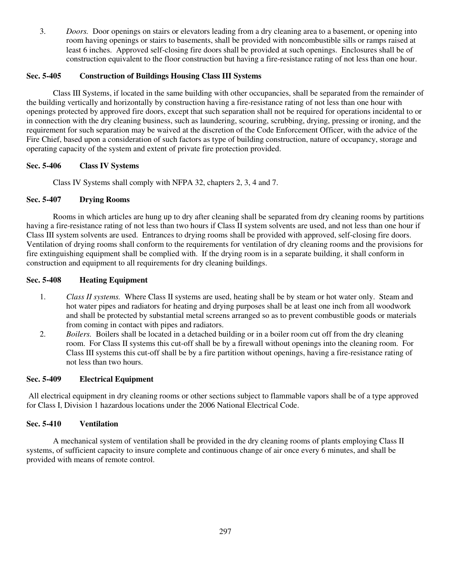3. *Doors.* Door openings on stairs or elevators leading from a dry cleaning area to a basement, or opening into room having openings or stairs to basements, shall be provided with noncombustible sills or ramps raised at least 6 inches. Approved self-closing fire doors shall be provided at such openings. Enclosures shall be of construction equivalent to the floor construction but having a fire-resistance rating of not less than one hour.

## **Sec. 5-405 Construction of Buildings Housing Class III Systems**

 Class III Systems, if located in the same building with other occupancies, shall be separated from the remainder of the building vertically and horizontally by construction having a fire-resistance rating of not less than one hour with openings protected by approved fire doors, except that such separation shall not be required for operations incidental to or in connection with the dry cleaning business, such as laundering, scouring, scrubbing, drying, pressing or ironing, and the requirement for such separation may be waived at the discretion of the Code Enforcement Officer, with the advice of the Fire Chief, based upon a consideration of such factors as type of building construction, nature of occupancy, storage and operating capacity of the system and extent of private fire protection provided.

## **Sec. 5-406 Class IV Systems**

Class IV Systems shall comply with NFPA 32, chapters 2, 3, 4 and 7.

#### **Sec. 5-407 Drying Rooms**

 Rooms in which articles are hung up to dry after cleaning shall be separated from dry cleaning rooms by partitions having a fire-resistance rating of not less than two hours if Class II system solvents are used, and not less than one hour if Class III system solvents are used. Entrances to drying rooms shall be provided with approved, self-closing fire doors. Ventilation of drying rooms shall conform to the requirements for ventilation of dry cleaning rooms and the provisions for fire extinguishing equipment shall be complied with. If the drying room is in a separate building, it shall conform in construction and equipment to all requirements for dry cleaning buildings.

#### **Sec. 5-408 Heating Equipment**

- 1. *Class II systems.* Where Class II systems are used, heating shall be by steam or hot water only. Steam and hot water pipes and radiators for heating and drying purposes shall be at least one inch from all woodwork and shall be protected by substantial metal screens arranged so as to prevent combustible goods or materials from coming in contact with pipes and radiators.
- 2. *Boilers.* Boilers shall be located in a detached building or in a boiler room cut off from the dry cleaning room. For Class II systems this cut-off shall be by a firewall without openings into the cleaning room. For Class III systems this cut-off shall be by a fire partition without openings, having a fire-resistance rating of not less than two hours.

#### **Sec. 5-409 Electrical Equipment**

 All electrical equipment in dry cleaning rooms or other sections subject to flammable vapors shall be of a type approved for Class I, Division 1 hazardous locations under the 2006 National Electrical Code.

## **Sec. 5-410 Ventilation**

 A mechanical system of ventilation shall be provided in the dry cleaning rooms of plants employing Class II systems, of sufficient capacity to insure complete and continuous change of air once every 6 minutes, and shall be provided with means of remote control.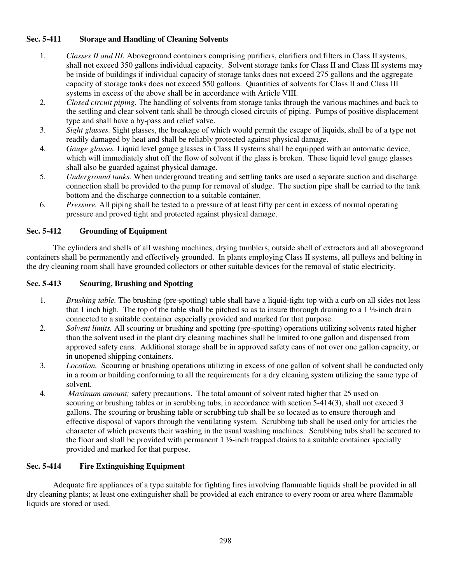# **Sec. 5-411 Storage and Handling of Cleaning Solvents**

- 1. *Classes II and III.* Aboveground containers comprising purifiers, clarifiers and filters in Class II systems, shall not exceed 350 gallons individual capacity. Solvent storage tanks for Class II and Class III systems may be inside of buildings if individual capacity of storage tanks does not exceed 275 gallons and the aggregate capacity of storage tanks does not exceed 550 gallons. Quantities of solvents for Class II and Class III systems in excess of the above shall be in accordance with Article VIII.
- 2. *Closed circuit piping.* The handling of solvents from storage tanks through the various machines and back to the settling and clear solvent tank shall be through closed circuits of piping. Pumps of positive displacement type and shall have a by-pass and relief valve.
- 3. *Sight glasses.* Sight glasses, the breakage of which would permit the escape of liquids, shall be of a type not readily damaged by heat and shall be reliably protected against physical damage.
- 4. *Gauge glasses.* Liquid level gauge glasses in Class II systems shall be equipped with an automatic device, which will immediately shut off the flow of solvent if the glass is broken. These liquid level gauge glasses shall also be guarded against physical damage.
- 5. *Underground tanks.* When underground treating and settling tanks are used a separate suction and discharge connection shall be provided to the pump for removal of sludge. The suction pipe shall be carried to the tank bottom and the discharge connection to a suitable container.
- 6. *Pressure.* All piping shall be tested to a pressure of at least fifty per cent in excess of normal operating pressure and proved tight and protected against physical damage.

## **Sec. 5-412 Grounding of Equipment**

 The cylinders and shells of all washing machines, drying tumblers, outside shell of extractors and all aboveground containers shall be permanently and effectively grounded. In plants employing Class II systems, all pulleys and belting in the dry cleaning room shall have grounded collectors or other suitable devices for the removal of static electricity.

## **Sec. 5-413 Scouring, Brushing and Spotting**

- 1. *Brushing table.* The brushing (pre-spotting) table shall have a liquid-tight top with a curb on all sides not less that 1 inch high. The top of the table shall be pitched so as to insure thorough draining to a  $1 \frac{1}{2}$ -inch drain connected to a suitable container especially provided and marked for that purpose.
- 2. *Solvent limits.* All scouring or brushing and spotting (pre-spotting) operations utilizing solvents rated higher than the solvent used in the plant dry cleaning machines shall be limited to one gallon and dispensed from approved safety cans. Additional storage shall be in approved safety cans of not over one gallon capacity, or in unopened shipping containers.
- 3. *Location.* Scouring or brushing operations utilizing in excess of one gallon of solvent shall be conducted only in a room or building conforming to all the requirements for a dry cleaning system utilizing the same type of solvent.
- 4. *Maximum amount;* safety precautions. The total amount of solvent rated higher that 25 used on scouring or brushing tables or in scrubbing tubs, in accordance with section 5-414(3), shall not exceed 3 gallons. The scouring or brushing table or scrubbing tub shall be so located as to ensure thorough and effective disposal of vapors through the ventilating system. Scrubbing tub shall be used only for articles the character of which prevents their washing in the usual washing machines. Scrubbing tubs shall be secured to the floor and shall be provided with permanent 1 ½-inch trapped drains to a suitable container specially provided and marked for that purpose.

## **Sec. 5-414 Fire Extinguishing Equipment**

 Adequate fire appliances of a type suitable for fighting fires involving flammable liquids shall be provided in all dry cleaning plants; at least one extinguisher shall be provided at each entrance to every room or area where flammable liquids are stored or used.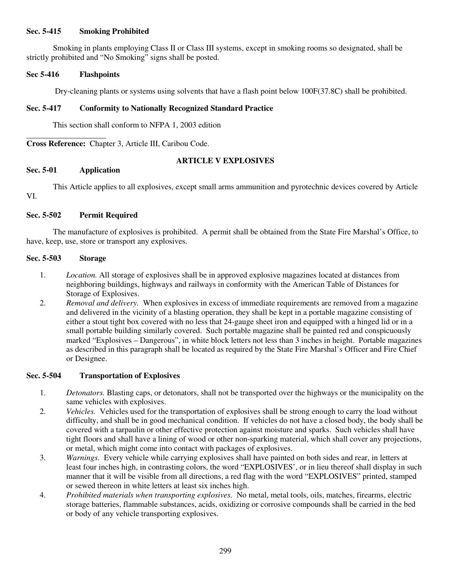## **Sec. 5-415 Smoking Prohibited**

 Smoking in plants employing Class II or Class III systems, except in smoking rooms so designated, shall be strictly prohibited and "No Smoking" signs shall be posted.

## **Sec 5-416 Flashpoints**

Dry-cleaning plants or systems using solvents that have a flash point below 100F(37.8C) shall be prohibited.

#### **Sec. 5-417 Conformity to Nationally Recognized Standard Practice**

This section shall conform to NFPA 1, 2003 edition

**Cross Reference:** Chapter 3, Article III, Caribou Code.

#### **ARTICLE V EXPLOSIVES**

# **Sec. 5-01 Application**

 $\overline{\phantom{a}}$ 

 This Article applies to all explosives, except small arms ammunition and pyrotechnic devices covered by Article VI.

## **Sec. 5-502 Permit Required**

 The manufacture of explosives is prohibited. A permit shall be obtained from the State Fire Marshal's Office, to have, keep, use, store or transport any explosives.

## **Sec. 5-503 Storage**

- 1. *Location.* All storage of explosives shall be in approved explosive magazines located at distances from neighboring buildings, highways and railways in conformity with the American Table of Distances for Storage of Explosives.
- 2. *Removal and delivery.* When explosives in excess of immediate requirements are removed from a magazine and delivered in the vicinity of a blasting operation, they shall be kept in a portable magazine consisting of either a stout tight box covered with no less that 24-gauge sheet iron and equipped with a hinged lid or in a small portable building similarly covered. Such portable magazine shall be painted red and conspicuously marked "Explosives – Dangerous", in white block letters not less than 3 inches in height. Portable magazines as described in this paragraph shall be located as required by the State Fire Marshal's Officer and Fire Chief or Designee.

#### **Sec. 5-504 Transportation of Explosives**

- 1. *Detonators.* Blasting caps, or detonators, shall not be transported over the highways or the municipality on the same vehicles with explosives.
- 2. *Vehicles.* Vehicles used for the transportation of explosives shall be strong enough to carry the load without difficulty, and shall be in good mechanical condition. If vehicles do not have a closed body, the body shall be covered with a tarpaulin or other effective protection against moisture and sparks. Such vehicles shall have tight floors and shall have a lining of wood or other non-sparking material, which shall cover any projections, or metal, which might come into contact with packages of explosives.
- 3. *Warnings.* Every vehicle while carrying explosives shall have painted on both sides and rear, in letters at least four inches high, in contrasting colors, the word "EXPLOSIVES', or in lieu thereof shall display in such manner that it will be visible from all directions, a red flag with the word "EXPLOSIVES" printed, stamped or sewed thereon in white letters at least six inches high.
- 4. *Prohibited materials when transporting explosives.* No metal, metal tools, oils, matches, firearms, electric storage batteries, flammable substances, acids, oxidizing or corrosive compounds shall be carried in the bed or body of any vehicle transporting explosives.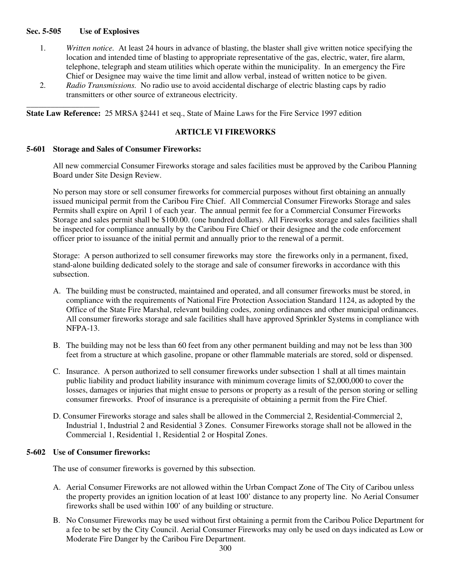#### **Sec. 5-505 Use of Explosives**

\_\_\_\_\_\_\_\_\_\_\_\_\_\_\_\_\_\_

- 1. *Written notice.* At least 24 hours in advance of blasting, the blaster shall give written notice specifying the location and intended time of blasting to appropriate representative of the gas, electric, water, fire alarm, telephone, telegraph and steam utilities which operate within the municipality. In an emergency the Fire Chief or Designee may waive the time limit and allow verbal, instead of written notice to be given.
- 2. *Radio Transmissions.* No radio use to avoid accidental discharge of electric blasting caps by radio transmitters or other source of extraneous electricity.

**State Law Reference:** 25 MRSA §2441 et seq., State of Maine Laws for the Fire Service 1997 edition

## **ARTICLE VI FIREWORKS**

#### **5-601 Storage and Sales of Consumer Fireworks:**

All new commercial Consumer Fireworks storage and sales facilities must be approved by the Caribou Planning Board under Site Design Review.

No person may store or sell consumer fireworks for commercial purposes without first obtaining an annually issued municipal permit from the Caribou Fire Chief. All Commercial Consumer Fireworks Storage and sales Permits shall expire on April 1 of each year. The annual permit fee for a Commercial Consumer Fireworks Storage and sales permit shall be \$100.00. (one hundred dollars). All Fireworks storage and sales facilities shall be inspected for compliance annually by the Caribou Fire Chief or their designee and the code enforcement officer prior to issuance of the initial permit and annually prior to the renewal of a permit.

Storage: A person authorized to sell consumer fireworks may store the fireworks only in a permanent, fixed, stand-alone building dedicated solely to the storage and sale of consumer fireworks in accordance with this subsection.

- A. The building must be constructed, maintained and operated, and all consumer fireworks must be stored, in compliance with the requirements of National Fire Protection Association Standard 1124, as adopted by the Office of the State Fire Marshal, relevant building codes, zoning ordinances and other municipal ordinances. All consumer fireworks storage and sale facilities shall have approved Sprinkler Systems in compliance with NFPA-13.
- B. The building may not be less than 60 feet from any other permanent building and may not be less than 300 feet from a structure at which gasoline, propane or other flammable materials are stored, sold or dispensed.
- C. Insurance. A person authorized to sell consumer fireworks under subsection 1 shall at all times maintain public liability and product liability insurance with minimum coverage limits of \$2,000,000 to cover the losses, damages or injuries that might ensue to persons or property as a result of the person storing or selling consumer fireworks. Proof of insurance is a prerequisite of obtaining a permit from the Fire Chief.
- D. Consumer Fireworks storage and sales shall be allowed in the Commercial 2, Residential-Commercial 2, Industrial 1, Industrial 2 and Residential 3 Zones. Consumer Fireworks storage shall not be allowed in the Commercial 1, Residential 1, Residential 2 or Hospital Zones.

#### **5-602 Use of Consumer fireworks:**

The use of consumer fireworks is governed by this subsection.

- A. Aerial Consumer Fireworks are not allowed within the Urban Compact Zone of The City of Caribou unless the property provides an ignition location of at least 100' distance to any property line. No Aerial Consumer fireworks shall be used within 100' of any building or structure.
- B. No Consumer Fireworks may be used without first obtaining a permit from the Caribou Police Department for a fee to be set by the City Council. Aerial Consumer Fireworks may only be used on days indicated as Low or Moderate Fire Danger by the Caribou Fire Department.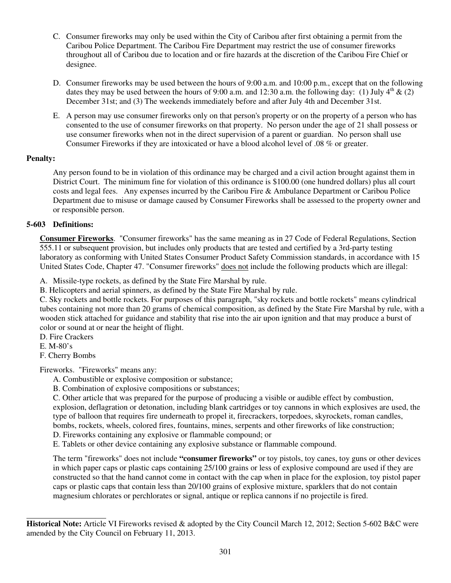- C. Consumer fireworks may only be used within the City of Caribou after first obtaining a permit from the Caribou Police Department. The Caribou Fire Department may restrict the use of consumer fireworks throughout all of Caribou due to location and or fire hazards at the discretion of the Caribou Fire Chief or designee.
- D. Consumer fireworks may be used between the hours of 9:00 a.m. and 10:00 p.m., except that on the following dates they may be used between the hours of 9:00 a.m. and 12:30 a.m. the following day: (1) July  $4^{th}$  & (2) December 31st; and (3) The weekends immediately before and after July 4th and December 31st.
- E. A person may use consumer fireworks only on that person's property or on the property of a person who has consented to the use of consumer fireworks on that property. No person under the age of 21 shall possess or use consumer fireworks when not in the direct supervision of a parent or guardian. No person shall use Consumer Fireworks if they are intoxicated or have a blood alcohol level of .08 % or greater.

# **Penalty:**

Any person found to be in violation of this ordinance may be charged and a civil action brought against them in District Court. The minimum fine for violation of this ordinance is \$100.00 (one hundred dollars) plus all court costs and legal fees. Any expenses incurred by the Caribou Fire & Ambulance Department or Caribou Police Department due to misuse or damage caused by Consumer Fireworks shall be assessed to the property owner and or responsible person.

# **5-603 Definitions:**

**Consumer Fireworks**. "Consumer fireworks" has the same meaning as in 27 Code of Federal Regulations, Section 555.11 or subsequent provision, but includes only products that are tested and certified by a 3rd-party testing laboratory as conforming with United States Consumer Product Safety Commission standards, in accordance with 15 United States Code, Chapter 47. "Consumer fireworks" does not include the following products which are illegal:

A. Missile-type rockets, as defined by the State Fire Marshal by rule.

B. Helicopters and aerial spinners, as defined by the State Fire Marshal by rule.

C. Sky rockets and bottle rockets. For purposes of this paragraph, "sky rockets and bottle rockets" means cylindrical tubes containing not more than 20 grams of chemical composition, as defined by the State Fire Marshal by rule, with a wooden stick attached for guidance and stability that rise into the air upon ignition and that may produce a burst of color or sound at or near the height of flight.

D. Fire Crackers

E. M-80's

 $\overline{a}$ 

F. Cherry Bombs

Fireworks. "Fireworks" means any:

A. Combustible or explosive composition or substance;

B. Combination of explosive compositions or substances;

C. Other article that was prepared for the purpose of producing a visible or audible effect by combustion, explosion, deflagration or detonation, including blank cartridges or toy cannons in which explosives are used, the type of balloon that requires fire underneath to propel it, firecrackers, torpedoes, skyrockets, roman candles,

bombs, rockets, wheels, colored fires, fountains, mines, serpents and other fireworks of like construction;

D. Fireworks containing any explosive or flammable compound; or

E. Tablets or other device containing any explosive substance or flammable compound.

The term "fireworks" does not include **"consumer fireworks"** or toy pistols, toy canes, toy guns or other devices in which paper caps or plastic caps containing 25/100 grains or less of explosive compound are used if they are constructed so that the hand cannot come in contact with the cap when in place for the explosion, toy pistol paper caps or plastic caps that contain less than 20/100 grains of explosive mixture, sparklers that do not contain magnesium chlorates or perchlorates or signal, antique or replica cannons if no projectile is fired.

**Historical Note:** Article VI Fireworks revised & adopted by the City Council March 12, 2012; Section 5-602 B&C were amended by the City Council on February 11, 2013.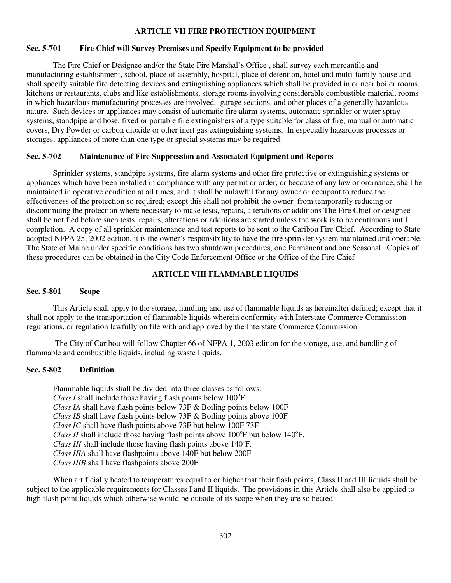#### **ARTICLE VII FIRE PROTECTION EQUIPMENT**

#### **Sec. 5-701 Fire Chief will Survey Premises and Specify Equipment to be provided**

 The Fire Chief or Designee and/or the State Fire Marshal's Office , shall survey each mercantile and manufacturing establishment, school, place of assembly, hospital, place of detention, hotel and multi-family house and shall specify suitable fire detecting devices and extinguishing appliances which shall be provided in or near boiler rooms, kitchens or restaurants, clubs and like establishments, storage rooms involving considerable combustible material, rooms in which hazardous manufacturing processes are involved, garage sections, and other places of a generally hazardous nature. Such devices or appliances may consist of automatic fire alarm systems, automatic sprinkler or water spray systems, standpipe and hose, fixed or portable fire extinguishers of a type suitable for class of fire, manual or automatic covers, Dry Powder or carbon dioxide or other inert gas extinguishing systems. In especially hazardous processes or storages, appliances of more than one type or special systems may be required.

#### **Sec. 5-702 Maintenance of Fire Suppression and Associated Equipment and Reports**

 Sprinkler systems, standpipe systems, fire alarm systems and other fire protective or extinguishing systems or appliances which have been installed in compliance with any permit or order, or because of any law or ordinance, shall be maintained in operative condition at all times, and it shall be unlawful for any owner or occupant to reduce the effectiveness of the protection so required; except this shall not prohibit the owner from temporarily reducing or discontinuing the protection where necessary to make tests, repairs, alterations or additions The Fire Chief or designee shall be notified before such tests, repairs, alterations or additions are started unless the work is to be continuous until completion. A copy of all sprinkler maintenance and test reports to be sent to the Caribou Fire Chief. According to State adopted NFPA 25, 2002 edition, it is the owner's responsibility to have the fire sprinkler system maintained and operable. The State of Maine under specific conditions has two shutdown procedures, one Permanent and one Seasonal. Copies of these procedures can be obtained in the City Code Enforcement Office or the Office of the Fire Chief

#### **ARTICLE VIII FLAMMABLE LIQUIDS**

## **Sec. 5-801 Scope**

 This Article shall apply to the storage, handling and use of flammable liquids as hereinafter defined; except that it shall not apply to the transportation of flammable liquids wherein conformity with Interstate Commerce Commission regulations, or regulation lawfully on file with and approved by the Interstate Commerce Commission.

 The City of Caribou will follow Chapter 66 of NFPA 1, 2003 edition for the storage, use, and handling of flammable and combustible liquids, including waste liquids.

#### **Sec. 5-802 Definition**

 Flammable liquids shall be divided into three classes as follows:  $Class I$  shall include those having flash points below  $100^{\circ}$ F. *Class IA* shall have flash points below 73F & Boiling points below 100F *Class IB* shall have flash points below 73F & Boiling points above 100F *Class IC* shall have flash points above 73F but below 100F 73F *Class II* shall include those having flash points above  $100^{\circ}$ F but below  $140^{\circ}$ F. *Class III* shall include those having flash points above 140°F. *Class IIIA* shall have flashpoints above 140F but below 200F *Class IIIB* shall have flashpoints above 200F

When artificially heated to temperatures equal to or higher that their flash points, Class II and III liquids shall be subject to the applicable requirements for Classes I and II liquids. The provisions in this Article shall also be applied to high flash point liquids which otherwise would be outside of its scope when they are so heated.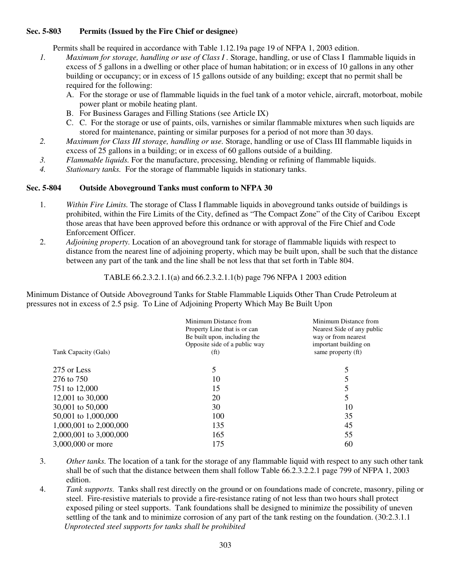### **Sec. 5-803 Permits (Issued by the Fire Chief or designee)**

Permits shall be required in accordance with Table 1.12.19a page 19 of NFPA 1, 2003 edition.

- *1. Maximum for storage, handling or use of Class I .* Storage, handling, or use of Class I flammable liquids in excess of 5 gallons in a dwelling or other place of human habitation; or in excess of 10 gallons in any other building or occupancy; or in excess of 15 gallons outside of any building; except that no permit shall be required for the following:
	- A. For the storage or use of flammable liquids in the fuel tank of a motor vehicle, aircraft, motorboat, mobile power plant or mobile heating plant.
	- B. For Business Garages and Filling Stations (see Article IX)
	- C. C. For the storage or use of paints, oils, varnishes or similar flammable mixtures when such liquids are stored for maintenance, painting or similar purposes for a period of not more than 30 days.
- *2. Maximum for Class III storage, handling or use.* Storage, handling or use of Class III flammable liquids in excess of 25 gallons in a building; or in excess of 60 gallons outside of a building.
- *3. Flammable liquids.* For the manufacture, processing, blending or refining of flammable liquids.
- *4. Stationary tanks.* For the storage of flammable liquids in stationary tanks.

## **Sec. 5-804 Outside Aboveground Tanks must conform to NFPA 30**

- 1. *Within Fire Limits.* The storage of Class I flammable liquids in aboveground tanks outside of buildings is prohibited, within the Fire Limits of the City, defined as "The Compact Zone" of the City of Caribou Except those areas that have been approved before this ordnance or with approval of the Fire Chief and Code Enforcement Officer.
- 2. *Adjoining property.* Location of an aboveground tank for storage of flammable liquids with respect to distance from the nearest line of adjoining property, which may be built upon, shall be such that the distance between any part of the tank and the line shall be not less that that set forth in Table 804.

TABLE 66.2.3.2.1.1(a) and 66.2.3.2.1.1(b) page 796 NFPA 1 2003 edition

Minimum Distance of Outside Aboveground Tanks for Stable Flammable Liquids Other Than Crude Petroleum at pressures not in excess of 2.5 psig. To Line of Adjoining Property Which May Be Built Upon

| Tank Capacity (Gals)   | Minimum Distance from<br>Property Line that is or can<br>Be built upon, including the<br>Opposite side of a public way<br>(f <sup>t</sup> ) | Minimum Distance from<br>Nearest Side of any public<br>way or from nearest<br>important building on<br>same property (ft) |
|------------------------|---------------------------------------------------------------------------------------------------------------------------------------------|---------------------------------------------------------------------------------------------------------------------------|
| 275 or Less            |                                                                                                                                             |                                                                                                                           |
| 276 to 750             | 10                                                                                                                                          | 5                                                                                                                         |
| 751 to 12,000          | 15                                                                                                                                          |                                                                                                                           |
| 12,001 to 30,000       | 20                                                                                                                                          | 5                                                                                                                         |
| 30,001 to 50,000       | 30                                                                                                                                          | 10                                                                                                                        |
| 50,001 to 1,000,000    | 100                                                                                                                                         | 35                                                                                                                        |
| 1,000,001 to 2,000,000 | 135                                                                                                                                         | 45                                                                                                                        |
| 2,000,001 to 3,000,000 | 165                                                                                                                                         | 55                                                                                                                        |
| 3,000,000 or more      | 175                                                                                                                                         | 60                                                                                                                        |
|                        |                                                                                                                                             |                                                                                                                           |

- 3. *Other tanks.* The location of a tank for the storage of any flammable liquid with respect to any such other tank shall be of such that the distance between them shall follow Table 66.2.3.2.2.1 page 799 of NFPA 1, 2003 edition.
- 4. *Tank supports.* Tanks shall rest directly on the ground or on foundations made of concrete, masonry, piling or steel. Fire-resistive materials to provide a fire-resistance rating of not less than two hours shall protect exposed piling or steel supports. Tank foundations shall be designed to minimize the possibility of uneven settling of the tank and to minimize corrosion of any part of the tank resting on the foundation. (30:2.3.1.1  *Unprotected steel supports for tanks shall be prohibited*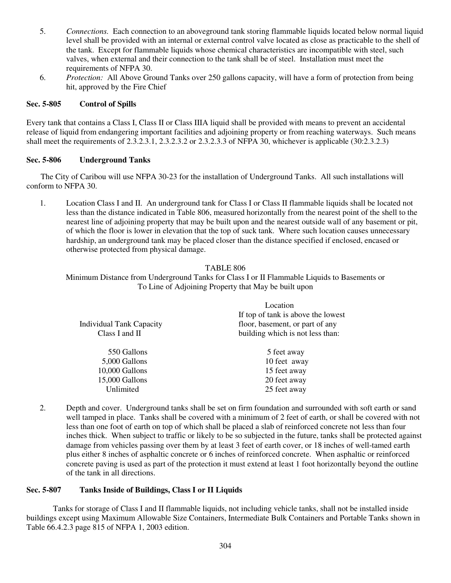- 5. *Connections.* Each connection to an aboveground tank storing flammable liquids located below normal liquid level shall be provided with an internal or external control valve located as close as practicable to the shell of the tank. Except for flammable liquids whose chemical characteristics are incompatible with steel, such valves, when external and their connection to the tank shall be of steel. Installation must meet the requirements of NFPA 30.
- 6. *Protection:* All Above Ground Tanks over 250 gallons capacity, will have a form of protection from being hit, approved by the Fire Chief

## **Sec. 5-805 Control of Spills**

Every tank that contains a Class I, Class II or Class IIIA liquid shall be provided with means to prevent an accidental release of liquid from endangering important facilities and adjoining property or from reaching waterways. Such means shall meet the requirements of 2.3.2.3.1, 2.3.2.3.2 or 2.3.2.3.3 of NFPA 30, whichever is applicable (30:2.3.2.3)

## **Sec. 5-806 Underground Tanks**

 The City of Caribou will use NFPA 30-23 for the installation of Underground Tanks. All such installations will conform to NFPA 30.

1. Location Class I and II. An underground tank for Class I or Class II flammable liquids shall be located not less than the distance indicated in Table 806, measured horizontally from the nearest point of the shell to the nearest line of adjoining property that may be built upon and the nearest outside wall of any basement or pit, of which the floor is lower in elevation that the top of suck tank. Where such location causes unnecessary hardship, an underground tank may be placed closer than the distance specified if enclosed, encased or otherwise protected from physical damage.

## TABLE 806

Minimum Distance from Underground Tanks for Class I or II Flammable Liquids to Basements or To Line of Adjoining Property that May be built upon

| Location                           |  |
|------------------------------------|--|
| If top of tank is above the lowest |  |
| floor, basement, or part of any    |  |
| building which is not less than:   |  |
| 5 feet away                        |  |
| 10 feet away                       |  |
| 15 feet away                       |  |
| 20 feet away                       |  |
| 25 feet away                       |  |
|                                    |  |

2. Depth and cover. Underground tanks shall be set on firm foundation and surrounded with soft earth or sand well tamped in place. Tanks shall be covered with a minimum of 2 feet of earth, or shall be covered with not less than one foot of earth on top of which shall be placed a slab of reinforced concrete not less than four inches thick. When subject to traffic or likely to be so subjected in the future, tanks shall be protected against damage from vehicles passing over them by at least 3 feet of earth cover, or 18 inches of well-tamed earth plus either 8 inches of asphaltic concrete or 6 inches of reinforced concrete. When asphaltic or reinforced concrete paving is used as part of the protection it must extend at least 1 foot horizontally beyond the outline of the tank in all directions.

## **Sec. 5-807 Tanks Inside of Buildings, Class I or II Liquids**

 Tanks for storage of Class I and II flammable liquids, not including vehicle tanks, shall not be installed inside buildings except using Maximum Allowable Size Containers, Intermediate Bulk Containers and Portable Tanks shown in Table 66.4.2.3 page 815 of NFPA 1, 2003 edition.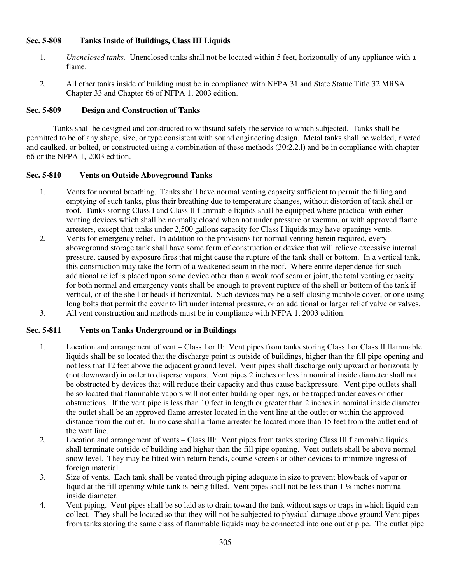## **Sec. 5-808 Tanks Inside of Buildings, Class III Liquids**

- 1. *Unenclosed tanks.* Unenclosed tanks shall not be located within 5 feet, horizontally of any appliance with a flame.
- 2. All other tanks inside of building must be in compliance with NFPA 31 and State Statue Title 32 MRSA Chapter 33 and Chapter 66 of NFPA 1, 2003 edition.

# **Sec. 5-809 Design and Construction of Tanks**

 Tanks shall be designed and constructed to withstand safely the service to which subjected. Tanks shall be permitted to be of any shape, size, or type consistent with sound engineering design. Metal tanks shall be welded, riveted and caulked, or bolted, or constructed using a combination of these methods (30:2.2.l) and be in compliance with chapter 66 or the NFPA 1, 2003 edition.

# **Sec. 5-810 Vents on Outside Aboveground Tanks**

- 1. Vents for normal breathing. Tanks shall have normal venting capacity sufficient to permit the filling and emptying of such tanks, plus their breathing due to temperature changes, without distortion of tank shell or roof. Tanks storing Class I and Class II flammable liquids shall be equipped where practical with either venting devices which shall be normally closed when not under pressure or vacuum, or with approved flame arresters, except that tanks under 2,500 gallons capacity for Class I liquids may have openings vents.
- 2. Vents for emergency relief. In addition to the provisions for normal venting herein required, every aboveground storage tank shall have some form of construction or device that will relieve excessive internal pressure, caused by exposure fires that might cause the rupture of the tank shell or bottom. In a vertical tank, this construction may take the form of a weakened seam in the roof. Where entire dependence for such additional relief is placed upon some device other than a weak roof seam or joint, the total venting capacity for both normal and emergency vents shall be enough to prevent rupture of the shell or bottom of the tank if vertical, or of the shell or heads if horizontal. Such devices may be a self-closing manhole cover, or one using long bolts that permit the cover to lift under internal pressure, or an additional or larger relief valve or valves.
- 3. All vent construction and methods must be in compliance with NFPA 1, 2003 edition.

# **Sec. 5-811 Vents on Tanks Underground or in Buildings**

- 1. Location and arrangement of vent Class I or II: Vent pipes from tanks storing Class I or Class II flammable liquids shall be so located that the discharge point is outside of buildings, higher than the fill pipe opening and not less that 12 feet above the adjacent ground level. Vent pipes shall discharge only upward or horizontally (not downward) in order to disperse vapors. Vent pipes 2 inches or less in nominal inside diameter shall not be obstructed by devices that will reduce their capacity and thus cause backpressure. Vent pipe outlets shall be so located that flammable vapors will not enter building openings, or be trapped under eaves or other obstructions. If the vent pipe is less than 10 feet in length or greater than 2 inches in nominal inside diameter the outlet shall be an approved flame arrester located in the vent line at the outlet or within the approved distance from the outlet. In no case shall a flame arrester be located more than 15 feet from the outlet end of the vent line.
- 2. Location and arrangement of vents Class III: Vent pipes from tanks storing Class III flammable liquids shall terminate outside of building and higher than the fill pipe opening. Vent outlets shall be above normal snow level. They may be fitted with return bends, course screens or other devices to minimize ingress of foreign material.
- 3. Size of vents. Each tank shall be vented through piping adequate in size to prevent blowback of vapor or liquid at the fill opening while tank is being filled. Vent pipes shall not be less than 1 ¼ inches nominal inside diameter.
- 4. Vent piping. Vent pipes shall be so laid as to drain toward the tank without sags or traps in which liquid can collect. They shall be located so that they will not be subjected to physical damage above ground Vent pipes from tanks storing the same class of flammable liquids may be connected into one outlet pipe. The outlet pipe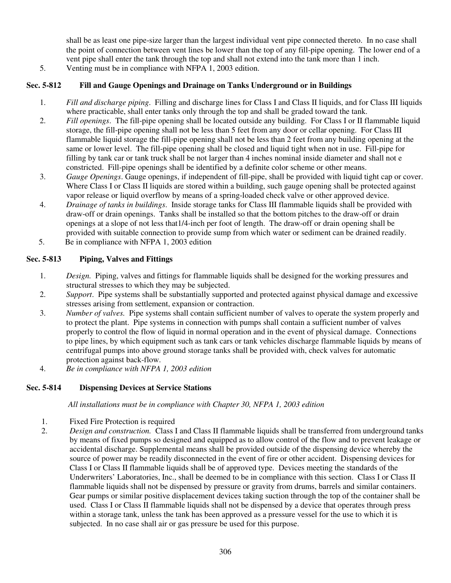shall be as least one pipe-size larger than the largest individual vent pipe connected thereto. In no case shall the point of connection between vent lines be lower than the top of any fill-pipe opening. The lower end of a vent pipe shall enter the tank through the top and shall not extend into the tank more than 1 inch.

5. Venting must be in compliance with NFPA 1, 2003 edition.

# **Sec. 5-812 Fill and Gauge Openings and Drainage on Tanks Underground or in Buildings**

- 1. *Fill and discharge piping*. Filling and discharge lines for Class I and Class II liquids, and for Class III liquids where practicable, shall enter tanks only through the top and shall be graded toward the tank.
- 2. *Fill openings*. The fill-pipe opening shall be located outside any building. For Class I or II flammable liquid storage, the fill-pipe opening shall not be less than 5 feet from any door or cellar opening. For Class III flammable liquid storage the fill-pipe opening shall not be less than 2 feet from any building opening at the same or lower level. The fill-pipe opening shall be closed and liquid tight when not in use. Fill-pipe for filling by tank car or tank truck shall be not larger than 4 inches nominal inside diameter and shall not e constricted. Fill-pipe openings shall be identified by a definite color scheme or other means.
- 3. *Gauge Openings*. Gauge openings, if independent of fill-pipe, shall be provided with liquid tight cap or cover. Where Class I or Class II liquids are stored within a building, such gauge opening shall be protected against vapor release or liquid overflow by means of a spring-loaded check valve or other approved device.
- 4. *Drainage of tanks in buildings*. Inside storage tanks for Class III flammable liquids shall be provided with draw-off or drain openings. Tanks shall be installed so that the bottom pitches to the draw-off or drain openings at a slope of not less that1/4-inch per foot of length. The draw-off or drain opening shall be provided with suitable connection to provide sump from which water or sediment can be drained readily.
- 5. Be in compliance with NFPA 1, 2003 edition

# **Sec. 5-813 Piping, Valves and Fittings**

- 1. *Design.* Piping, valves and fittings for flammable liquids shall be designed for the working pressures and structural stresses to which they may be subjected.
- 2. *Support*. Pipe systems shall be substantially supported and protected against physical damage and excessive stresses arising from settlement, expansion or contraction.
- 3. *Number of valves.* Pipe systems shall contain sufficient number of valves to operate the system properly and to protect the plant. Pipe systems in connection with pumps shall contain a sufficient number of valves properly to control the flow of liquid in normal operation and in the event of physical damage. Connections to pipe lines, by which equipment such as tank cars or tank vehicles discharge flammable liquids by means of centrifugal pumps into above ground storage tanks shall be provided with, check valves for automatic protection against back-flow.
- 4. *Be in compliance with NFPA 1, 2003 edition*

## **Sec. 5-814 Dispensing Devices at Service Stations**

*All installations must be in compliance with Chapter 30, NFPA 1, 2003 edition* 

- 1. Fixed Fire Protection is required
- 2. *Design and construction.* Class I and Class II flammable liquids shall be transferred from underground tanks by means of fixed pumps so designed and equipped as to allow control of the flow and to prevent leakage or accidental discharge. Supplemental means shall be provided outside of the dispensing device whereby the source of power may be readily disconnected in the event of fire or other accident. Dispensing devices for Class I or Class II flammable liquids shall be of approved type. Devices meeting the standards of the Underwriters' Laboratories, Inc., shall be deemed to be in compliance with this section. Class I or Class II flammable liquids shall not be dispensed by pressure or gravity from drums, barrels and similar containers. Gear pumps or similar positive displacement devices taking suction through the top of the container shall be used. Class I or Class II flammable liquids shall not be dispensed by a device that operates through press within a storage tank, unless the tank has been approved as a pressure vessel for the use to which it is subjected. In no case shall air or gas pressure be used for this purpose.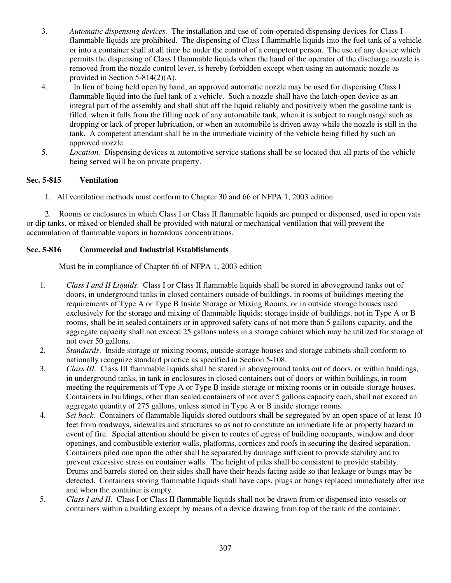- 3. *Automatic dispensing devices.* The installation and use of coin-operated dispensing devices for Class I flammable liquids are prohibited. The dispensing of Class I flammable liquids into the fuel tank of a vehicle or into a container shall at all time be under the control of a competent person. The use of any device which permits the dispensing of Class I flammable liquids when the hand of the operator of the discharge nozzle is removed from the nozzle control lever, is hereby forbidden except when using an automatic nozzle as provided in Section 5-814(2)(A).
- 4. In lieu of being held open by hand, an approved automatic nozzle may be used for dispensing Class I flammable liquid into the fuel tank of a vehicle. Such a nozzle shall have the latch-open device as an integral part of the assembly and shall shut off the liquid reliably and positively when the gasoline tank is filled, when it falls from the filling neck of any automobile tank, when it is subject to rough usage such as dropping or lack of proper lubrication, or when an automobile is driven away while the nozzle is still in the tank. A competent attendant shall be in the immediate vicinity of the vehicle being filled by such an approved nozzle.
- 5. *Location.* Dispensing devices at automotive service stations shall be so located that all parts of the vehicle being served will be on private property.

# **Sec. 5-815 Ventilation**

1. All ventilation methods must conform to Chapter 30 and 66 of NFPA 1, 2003 edition

 2. Rooms or enclosures in which Class I or Class II flammable liquids are pumped or dispensed, used in open vats or dip tanks, or mixed or blended shall be provided with natural or mechanical ventilation that will prevent the accumulation of flammable vapors in hazardous concentrations.

# **Sec. 5-816 Commercial and Industrial Establishments**

Must be in compliance of Chapter 66 of NFPA 1, 2003 edition

- 1. *Class I and II Liquids*. Class I or Class II flammable liquids shall be stored in aboveground tanks out of doors, in underground tanks in closed containers outside of buildings, in rooms of buildings meeting the requirements of Type A or Type B Inside Storage or Mixing Rooms, or in outside storage houses used exclusively for the storage and mixing of flammable liquids; storage inside of buildings, not in Type A or B rooms, shall be in sealed containers or in approved safety cans of not more than 5 gallons capacity, and the aggregate capacity shall not exceed 25 gallons unless in a storage cabinet which may be utilized for storage of not over 50 gallons.
- 2. *Standards*. Inside storage or mixing rooms, outside storage houses and storage cabinets shall conform to nationally recognize standard practice as specified in Section 5-108.
- 3. *Class III.* Class III flammable liquids shall be stored in aboveground tanks out of doors, or within buildings, in underground tanks, in tank in enclosures in closed containers out of doors or within buildings, in room meeting the requirements of Type A or Type B inside storage or mixing rooms or in outside storage houses. Containers in buildings, other than sealed containers of not over 5 gallons capacity each, shall not exceed an aggregate quantity of 275 gallons, unless stored in Type A or B inside storage rooms.
- 4. *Set back.* Containers of flammable liquids stored outdoors shall be segregated by an open space of at least 10 feet from roadways, sidewalks and structures so as not to constitute an immediate life or property hazard in event of fire. Special attention should be given to routes of egress of building occupants, window and door openings, and combustible exterior walls, platforms, cornices and roofs in securing the desired separation. Containers piled one upon the other shall be separated by dunnage sufficient to provide stability and to prevent excessive stress on container walls. The height of piles shall be consistent to provide stability. Drums and barrels stored on their sides shall have their heads facing aside so that leakage or bungs may be detected. Containers storing flammable liquids shall have caps, plugs or bungs replaced immediately after use and when the container is empty.
- 5. *Class I and II.* Class I or Class II flammable liquids shall not be drawn from or dispensed into vessels or containers within a building except by means of a device drawing from top of the tank of the container.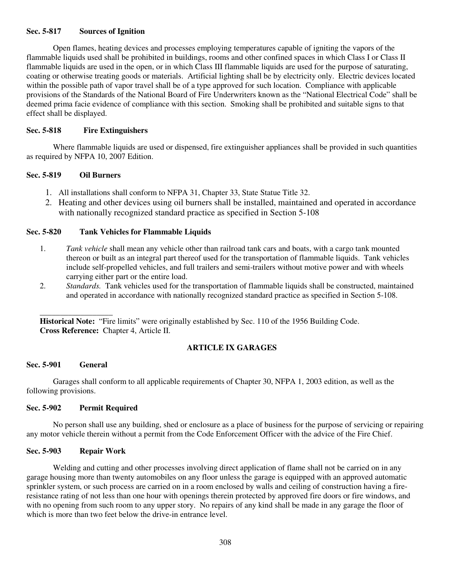## **Sec. 5-817 Sources of Ignition**

Open flames, heating devices and processes employing temperatures capable of igniting the vapors of the flammable liquids used shall be prohibited in buildings, rooms and other confined spaces in which Class I or Class II flammable liquids are used in the open, or in which Class III flammable liquids are used for the purpose of saturating, coating or otherwise treating goods or materials. Artificial lighting shall be by electricity only. Electric devices located within the possible path of vapor travel shall be of a type approved for such location. Compliance with applicable provisions of the Standards of the National Board of Fire Underwriters known as the "National Electrical Code" shall be deemed prima facie evidence of compliance with this section. Smoking shall be prohibited and suitable signs to that effect shall be displayed.

#### **Sec. 5-818 Fire Extinguishers**

 Where flammable liquids are used or dispensed, fire extinguisher appliances shall be provided in such quantities as required by NFPA 10, 2007 Edition.

#### **Sec. 5-819 Oil Burners**

- 1. All installations shall conform to NFPA 31, Chapter 33, State Statue Title 32.
- 2. Heating and other devices using oil burners shall be installed, maintained and operated in accordance with nationally recognized standard practice as specified in Section 5-108

#### **Sec. 5-820 Tank Vehicles for Flammable Liquids**

- 1. *Tank vehicle* shall mean any vehicle other than railroad tank cars and boats, with a cargo tank mounted thereon or built as an integral part thereof used for the transportation of flammable liquids. Tank vehicles include self-propelled vehicles, and full trailers and semi-trailers without motive power and with wheels carrying either part or the entire load.
- 2. *Standards.* Tank vehicles used for the transportation of flammable liquids shall be constructed, maintained and operated in accordance with nationally recognized standard practice as specified in Section 5-108.

**Historical Note:** "Fire limits" were originally established by Sec. 110 of the 1956 Building Code. **Cross Reference:** Chapter 4, Article II.

## **ARTICLE IX GARAGES**

#### **Sec. 5-901 General**

\_\_\_\_\_\_\_\_\_\_\_\_\_\_\_\_\_\_

Garages shall conform to all applicable requirements of Chapter 30, NFPA 1, 2003 edition, as well as the following provisions.

#### **Sec. 5-902 Permit Required**

No person shall use any building, shed or enclosure as a place of business for the purpose of servicing or repairing any motor vehicle therein without a permit from the Code Enforcement Officer with the advice of the Fire Chief.

## **Sec. 5-903 Repair Work**

Welding and cutting and other processes involving direct application of flame shall not be carried on in any garage housing more than twenty automobiles on any floor unless the garage is equipped with an approved automatic sprinkler system, or such process are carried on in a room enclosed by walls and ceiling of construction having a fireresistance rating of not less than one hour with openings therein protected by approved fire doors or fire windows, and with no opening from such room to any upper story. No repairs of any kind shall be made in any garage the floor of which is more than two feet below the drive-in entrance level.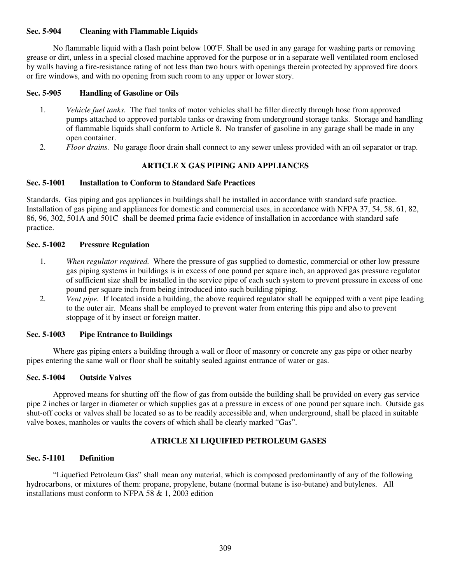## **Sec. 5-904 Cleaning with Flammable Liquids**

No flammable liquid with a flash point below 100°F. Shall be used in any garage for washing parts or removing grease or dirt, unless in a special closed machine approved for the purpose or in a separate well ventilated room enclosed by walls having a fire-resistance rating of not less than two hours with openings therein protected by approved fire doors or fire windows, and with no opening from such room to any upper or lower story.

#### **Sec. 5-905 Handling of Gasoline or Oils**

- 1. *Vehicle fuel tanks.* The fuel tanks of motor vehicles shall be filler directly through hose from approved pumps attached to approved portable tanks or drawing from underground storage tanks. Storage and handling of flammable liquids shall conform to Article 8. No transfer of gasoline in any garage shall be made in any open container.
- 2. *Floor drains.* No garage floor drain shall connect to any sewer unless provided with an oil separator or trap.

# **ARTICLE X GAS PIPING AND APPLIANCES**

## **Sec. 5-1001 Installation to Conform to Standard Safe Practices**

Standards. Gas piping and gas appliances in buildings shall be installed in accordance with standard safe practice. Installation of gas piping and appliances for domestic and commercial uses, in accordance with NFPA 37, 54, 58, 61, 82, 86, 96, 302, 501A and 501C shall be deemed prima facie evidence of installation in accordance with standard safe practice.

#### **Sec. 5-1002 Pressure Regulation**

- 1. *When regulator required.* Where the pressure of gas supplied to domestic, commercial or other low pressure gas piping systems in buildings is in excess of one pound per square inch, an approved gas pressure regulator of sufficient size shall be installed in the service pipe of each such system to prevent pressure in excess of one pound per square inch from being introduced into such building piping.
- 2. *Vent pipe.* If located inside a building, the above required regulator shall be equipped with a vent pipe leading to the outer air. Means shall be employed to prevent water from entering this pipe and also to prevent stoppage of it by insect or foreign matter.

#### **Sec. 5-1003 Pipe Entrance to Buildings**

 Where gas piping enters a building through a wall or floor of masonry or concrete any gas pipe or other nearby pipes entering the same wall or floor shall be suitably sealed against entrance of water or gas.

#### **Sec. 5-1004 Outside Valves**

 Approved means for shutting off the flow of gas from outside the building shall be provided on every gas service pipe 2 inches or larger in diameter or which supplies gas at a pressure in excess of one pound per square inch. Outside gas shut-off cocks or valves shall be located so as to be readily accessible and, when underground, shall be placed in suitable valve boxes, manholes or vaults the covers of which shall be clearly marked "Gas".

## **ATRICLE XI LIQUIFIED PETROLEUM GASES**

#### **Sec. 5-1101 Definition**

 "Liquefied Petroleum Gas" shall mean any material, which is composed predominantly of any of the following hydrocarbons, or mixtures of them: propane, propylene, butane (normal butane is iso-butane) and butylenes. All installations must conform to NFPA 58 & 1, 2003 edition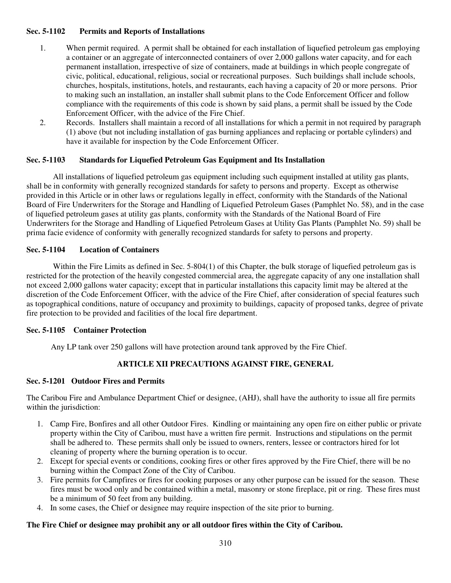## **Sec. 5-1102 Permits and Reports of Installations**

- 1. When permit required. A permit shall be obtained for each installation of liquefied petroleum gas employing a container or an aggregate of interconnected containers of over 2,000 gallons water capacity, and for each permanent installation, irrespective of size of containers, made at buildings in which people congregate of civic, political, educational, religious, social or recreational purposes. Such buildings shall include schools, churches, hospitals, institutions, hotels, and restaurants, each having a capacity of 20 or more persons. Prior to making such an installation, an installer shall submit plans to the Code Enforcement Officer and follow compliance with the requirements of this code is shown by said plans, a permit shall be issued by the Code Enforcement Officer, with the advice of the Fire Chief.
- 2. Records. Installers shall maintain a record of all installations for which a permit in not required by paragraph (1) above (but not including installation of gas burning appliances and replacing or portable cylinders) and have it available for inspection by the Code Enforcement Officer.

# **Sec. 5-1103 Standards for Liquefied Petroleum Gas Equipment and Its Installation**

 All installations of liquefied petroleum gas equipment including such equipment installed at utility gas plants, shall be in conformity with generally recognized standards for safety to persons and property. Except as otherwise provided in this Article or in other laws or regulations legally in effect, conformity with the Standards of the National Board of Fire Underwriters for the Storage and Handling of Liquefied Petroleum Gases (Pamphlet No. 58), and in the case of liquefied petroleum gases at utility gas plants, conformity with the Standards of the National Board of Fire Underwriters for the Storage and Handling of Liquefied Petroleum Gases at Utility Gas Plants (Pamphlet No. 59) shall be prima facie evidence of conformity with generally recognized standards for safety to persons and property.

# **Sec. 5-1104 Location of Containers**

Within the Fire Limits as defined in Sec. 5-804(1) of this Chapter, the bulk storage of liquefied petroleum gas is restricted for the protection of the heavily congested commercial area, the aggregate capacity of any one installation shall not exceed 2,000 gallons water capacity; except that in particular installations this capacity limit may be altered at the discretion of the Code Enforcement Officer, with the advice of the Fire Chief, after consideration of special features such as topographical conditions, nature of occupancy and proximity to buildings, capacity of proposed tanks, degree of private fire protection to be provided and facilities of the local fire department.

## **Sec. 5-1105 Container Protection**

Any LP tank over 250 gallons will have protection around tank approved by the Fire Chief.

# **ARTICLE XII PRECAUTIONS AGAINST FIRE, GENERAL**

## **Sec. 5-1201 Outdoor Fires and Permits**

The Caribou Fire and Ambulance Department Chief or designee, (AHJ), shall have the authority to issue all fire permits within the jurisdiction:

- 1. Camp Fire, Bonfires and all other Outdoor Fires. Kindling or maintaining any open fire on either public or private property within the City of Caribou, must have a written fire permit. Instructions and stipulations on the permit shall be adhered to. These permits shall only be issued to owners, renters, lessee or contractors hired for lot cleaning of property where the burning operation is to occur.
- 2. Except for special events or conditions, cooking fires or other fires approved by the Fire Chief, there will be no burning within the Compact Zone of the City of Caribou.
- 3. Fire permits for Campfires or fires for cooking purposes or any other purpose can be issued for the season. These fires must be wood only and be contained within a metal, masonry or stone fireplace, pit or ring. These fires must be a minimum of 50 feet from any building.
- 4. In some cases, the Chief or designee may require inspection of the site prior to burning.

## **The Fire Chief or designee may prohibit any or all outdoor fires within the City of Caribou.**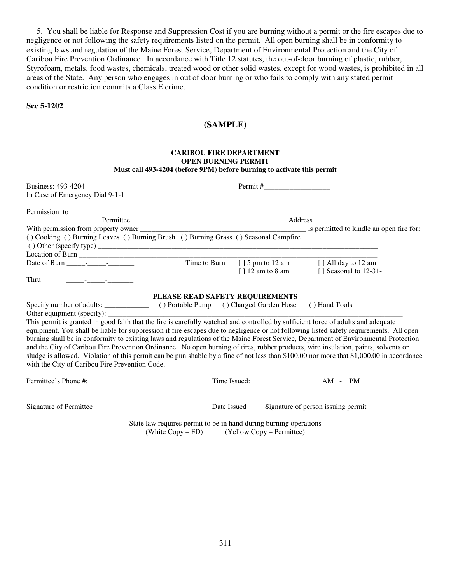5. You shall be liable for Response and Suppression Cost if you are burning without a permit or the fire escapes due to negligence or not following the safety requirements listed on the permit. All open burning shall be in conformity to existing laws and regulation of the Maine Forest Service, Department of Environmental Protection and the City of Caribou Fire Prevention Ordinance. In accordance with Title 12 statutes, the out-of-door burning of plastic, rubber, Styrofoam, metals, food wastes, chemicals, treated wood or other solid wastes, except for wood wastes, is prohibited in all areas of the State. Any person who engages in out of door burning or who fails to comply with any stated permit condition or restriction commits a Class E crime.

**Sec 5-1202** 

# **(SAMPLE)**

#### **CARIBOU FIRE DEPARTMENT OPEN BURNING PERMIT Must call 493-4204 (before 9PM) before burning to activate this permit**

| <b>Business: 493-4204</b>                                                                                                                                                                                                                                                                                                                                                                                                                                                                                                                                                                                                                                                                                                                              |                                 |                     |                                          |
|--------------------------------------------------------------------------------------------------------------------------------------------------------------------------------------------------------------------------------------------------------------------------------------------------------------------------------------------------------------------------------------------------------------------------------------------------------------------------------------------------------------------------------------------------------------------------------------------------------------------------------------------------------------------------------------------------------------------------------------------------------|---------------------------------|---------------------|------------------------------------------|
| In Case of Emergency Dial 9-1-1                                                                                                                                                                                                                                                                                                                                                                                                                                                                                                                                                                                                                                                                                                                        |                                 |                     |                                          |
|                                                                                                                                                                                                                                                                                                                                                                                                                                                                                                                                                                                                                                                                                                                                                        |                                 |                     |                                          |
| Permittee                                                                                                                                                                                                                                                                                                                                                                                                                                                                                                                                                                                                                                                                                                                                              | Address                         |                     |                                          |
|                                                                                                                                                                                                                                                                                                                                                                                                                                                                                                                                                                                                                                                                                                                                                        |                                 |                     | is permitted to kindle an open fire for: |
| () Cooking () Burning Leaves () Burning Brush () Burning Grass () Seasonal Campfire                                                                                                                                                                                                                                                                                                                                                                                                                                                                                                                                                                                                                                                                    |                                 |                     |                                          |
|                                                                                                                                                                                                                                                                                                                                                                                                                                                                                                                                                                                                                                                                                                                                                        |                                 |                     |                                          |
|                                                                                                                                                                                                                                                                                                                                                                                                                                                                                                                                                                                                                                                                                                                                                        |                                 |                     |                                          |
| Date of Burn - -                                                                                                                                                                                                                                                                                                                                                                                                                                                                                                                                                                                                                                                                                                                                       | Time to Burn                    |                     | [] 5 pm to 12 am [] All day to 12 am     |
|                                                                                                                                                                                                                                                                                                                                                                                                                                                                                                                                                                                                                                                                                                                                                        |                                 | $[$ ] 12 am to 8 am | [] Seasonal to 12-31-                    |
| Thru                                                                                                                                                                                                                                                                                                                                                                                                                                                                                                                                                                                                                                                                                                                                                   |                                 |                     |                                          |
| This permit is granted in good faith that the fire is carefully watched and controlled by sufficient force of adults and adequate<br>equipment. You shall be liable for suppression if fire escapes due to negligence or not following listed safety requirements. All open<br>burning shall be in conformity to existing laws and regulations of the Maine Forest Service, Department of Environmental Protection<br>and the City of Caribou Fire Prevention Ordinance. No open burning of tires, rubber products, wire insulation, paints, solvents or<br>sludge is allowed. Violation of this permit can be punishable by a fine of not less than \$100.00 nor more that \$1,000.00 in accordance<br>with the City of Caribou Fire Prevention Code. | PLEASE READ SAFETY REQUIREMENTS |                     | () Hand Tools                            |
|                                                                                                                                                                                                                                                                                                                                                                                                                                                                                                                                                                                                                                                                                                                                                        |                                 |                     |                                          |
| Signature of Permittee                                                                                                                                                                                                                                                                                                                                                                                                                                                                                                                                                                                                                                                                                                                                 | Date Issued                     |                     | Signature of person issuing permit       |
| State law requires permit to be in hand during burning operations<br>(White Copy – FD) (Yellow Copy – Permittee)                                                                                                                                                                                                                                                                                                                                                                                                                                                                                                                                                                                                                                       |                                 |                     |                                          |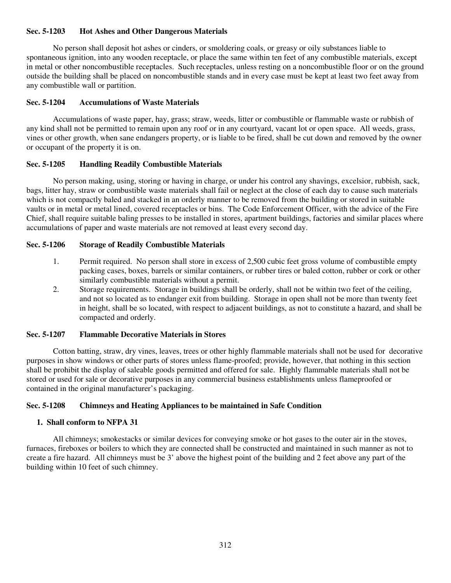## **Sec. 5-1203 Hot Ashes and Other Dangerous Materials**

 No person shall deposit hot ashes or cinders, or smoldering coals, or greasy or oily substances liable to spontaneous ignition, into any wooden receptacle, or place the same within ten feet of any combustible materials, except in metal or other noncombustible receptacles. Such receptacles, unless resting on a noncombustible floor or on the ground outside the building shall be placed on noncombustible stands and in every case must be kept at least two feet away from any combustible wall or partition.

## **Sec. 5-1204 Accumulations of Waste Materials**

 Accumulations of waste paper, hay, grass; straw, weeds, litter or combustible or flammable waste or rubbish of any kind shall not be permitted to remain upon any roof or in any courtyard, vacant lot or open space. All weeds, grass, vines or other growth, when sane endangers property, or is liable to be fired, shall be cut down and removed by the owner or occupant of the property it is on.

## **Sec. 5-1205 Handling Readily Combustible Materials**

 No person making, using, storing or having in charge, or under his control any shavings, excelsior, rubbish, sack, bags, litter hay, straw or combustible waste materials shall fail or neglect at the close of each day to cause such materials which is not compactly baled and stacked in an orderly manner to be removed from the building or stored in suitable vaults or in metal or metal lined, covered receptacles or bins. The Code Enforcement Officer, with the advice of the Fire Chief, shall require suitable baling presses to be installed in stores, apartment buildings, factories and similar places where accumulations of paper and waste materials are not removed at least every second day.

#### **Sec. 5-1206 Storage of Readily Combustible Materials**

- 1. Permit required. No person shall store in excess of 2,500 cubic feet gross volume of combustible empty packing cases, boxes, barrels or similar containers, or rubber tires or baled cotton, rubber or cork or other similarly combustible materials without a permit.
- 2. Storage requirements. Storage in buildings shall be orderly, shall not be within two feet of the ceiling, and not so located as to endanger exit from building. Storage in open shall not be more than twenty feet in height, shall be so located, with respect to adjacent buildings, as not to constitute a hazard, and shall be compacted and orderly.

#### **Sec. 5-1207 Flammable Decorative Materials in Stores**

Cotton batting, straw, dry vines, leaves, trees or other highly flammable materials shall not be used for decorative purposes in show windows or other parts of stores unless flame-proofed; provide, however, that nothing in this section shall be prohibit the display of saleable goods permitted and offered for sale. Highly flammable materials shall not be stored or used for sale or decorative purposes in any commercial business establishments unless flameproofed or contained in the original manufacturer's packaging.

#### **Sec. 5-1208 Chimneys and Heating Appliances to be maintained in Safe Condition**

#### **1. Shall conform to NFPA 31**

 All chimneys; smokestacks or similar devices for conveying smoke or hot gases to the outer air in the stoves, furnaces, fireboxes or boilers to which they are connected shall be constructed and maintained in such manner as not to create a fire hazard. All chimneys must be 3' above the highest point of the building and 2 feet above any part of the building within 10 feet of such chimney.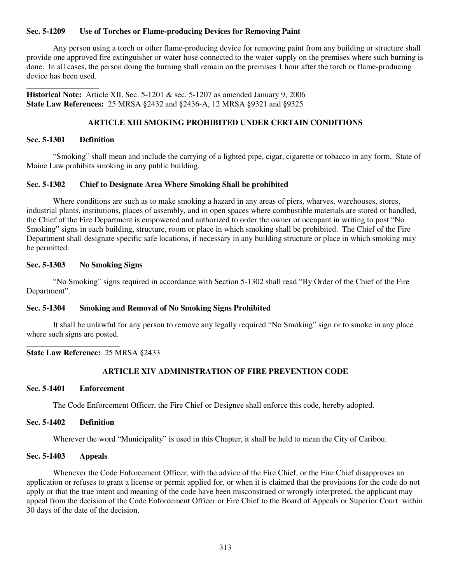## **Sec. 5-1209 Use of Torches or Flame-producing Devices for Removing Paint**

 Any person using a torch or other flame-producing device for removing paint from any building or structure shall provide one approved fire extinguisher or water hose connected to the water supply on the premises where such burning is done. In all cases, the person doing the burning shall remain on the premises 1 hour after the torch or flame-producing device has been used.

**Historical Note:** Article XII, Sec. 5-1201 & sec. 5-1207 as amended January 9, 2006 **State Law References:** 25 MRSA §2432 and §2436-A, 12 MRSA §9321 and §9325

## **ARTICLE XIII SMOKING PROHIBITED UNDER CERTAIN CONDITIONS**

## **Sec. 5-1301 Definition**

\_\_\_\_\_\_\_\_\_\_\_\_\_\_\_\_\_\_

 "Smoking" shall mean and include the carrying of a lighted pipe, cigar, cigarette or tobacco in any form. State of Maine Law prohibits smoking in any public building.

#### **Sec. 5-1302 Chief to Designate Area Where Smoking Shall be prohibited**

 Where conditions are such as to make smoking a hazard in any areas of piers, wharves, warehouses, stores, industrial plants, institutions, places of assembly, and in open spaces where combustible materials are stored or handled, the Chief of the Fire Department is empowered and authorized to order the owner or occupant in writing to post "No Smoking" signs in each building, structure, room or place in which smoking shall be prohibited. The Chief of the Fire Department shall designate specific safe locations, if necessary in any building structure or place in which smoking may be permitted.

## **Sec. 5-1303 No Smoking Signs**

 "No Smoking" signs required in accordance with Section 5-1302 shall read "By Order of the Chief of the Fire Department".

#### **Sec. 5-1304 Smoking and Removal of No Smoking Signs Prohibited**

 It shall be unlawful for any person to remove any legally required "No Smoking" sign or to smoke in any place where such signs are posted.

#### **State Law Reference:** 25 MRSA §2433

## **ARTICLE XIV ADMINISTRATION OF FIRE PREVENTION CODE**

#### **Sec. 5-1401 Enforcement**

\_\_\_\_\_\_\_\_\_\_\_\_\_\_\_\_\_\_\_\_\_\_\_

The Code Enforcement Officer, the Fire Chief or Designee shall enforce this code, hereby adopted.

#### **Sec. 5-1402 Definition**

Wherever the word "Municipality" is used in this Chapter, it shall be held to mean the City of Caribou.

#### **Sec. 5-1403 Appeals**

 Whenever the Code Enforcement Officer, with the advice of the Fire Chief, or the Fire Chief disapproves an application or refuses to grant a license or permit applied for, or when it is claimed that the provisions for the code do not apply or that the true intent and meaning of the code have been misconstrued or wrongly interpreted, the applicant may appeal from the decision of the Code Enforcement Officer or Fire Chief to the Board of Appeals or Superior Court within 30 days of the date of the decision.